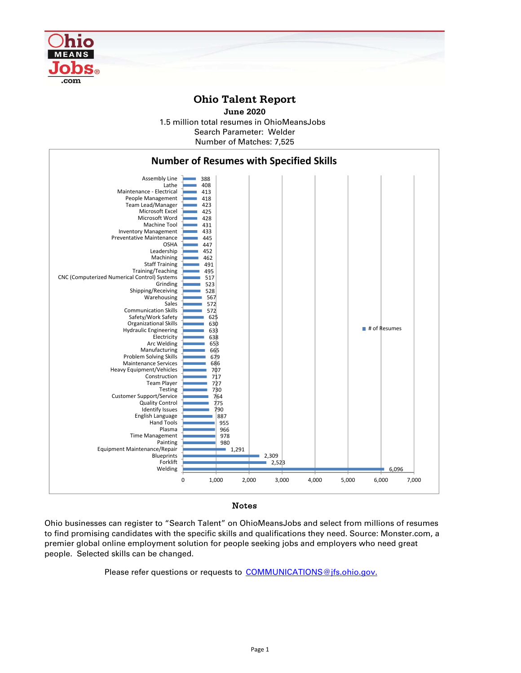

## **Ohio Talent Report**

1.5 million total resumes in OhioMeansJobs Number of Matches: 7,525 **June 2020** Search Parameter: Welder



## Notes

Ohio businesses can register to "Search Talent" on OhioMeansJobs and select from millions of resumes to find promising candidates with the specific skills and qualifications they need. Source: Monster.com, a premier global online employment solution for people seeking jobs and employers who need great people. Selected skills can be changed.

Please refer questions or requests to COMMUNICATIONS@jfs.ohio.gov.